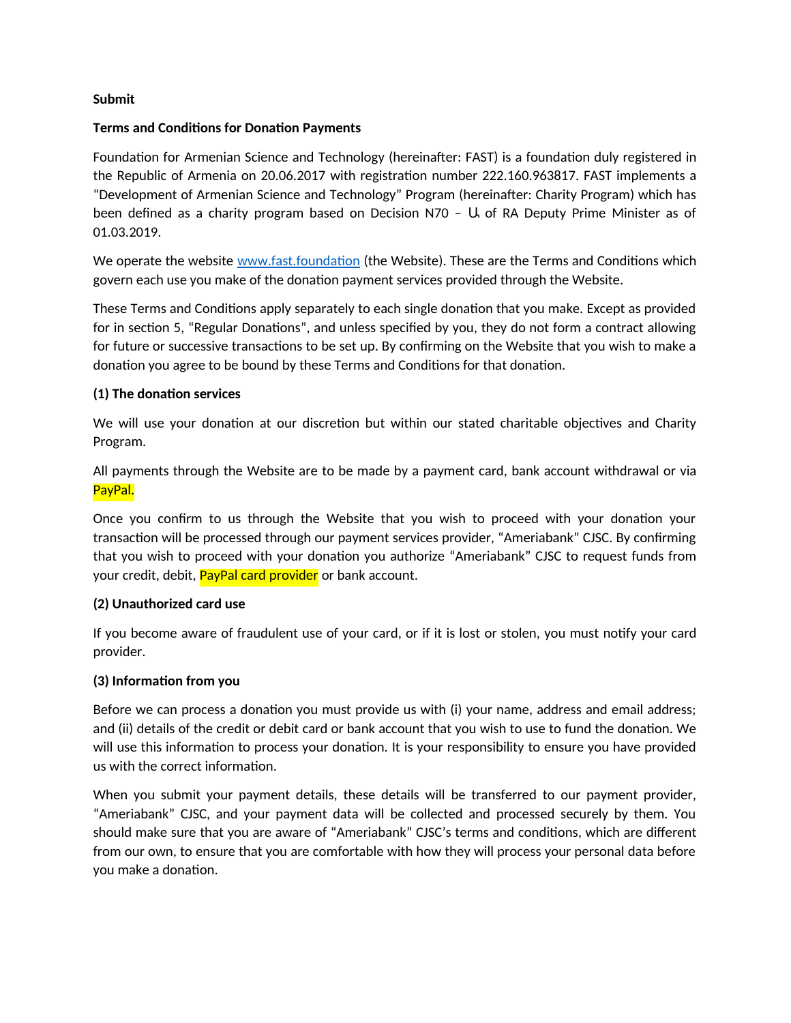## **Submit**

## **Terms and Conditions for Donation Payments**

Foundation for Armenian Science and Technology (hereinafter: FAST) is a foundation duly registered in the Republic of Armenia on 20.06.2017 with registration number 222.160.963817. FAST implements a "Development of Armenian Science and Technology" Program (hereinafter: Charity Program) which has been defined as a charity program based on Decision N70 - U of RA Deputy Prime Minister as of 01.03.2019.

We operate the website [www.fast.foundation](http://www.fast.foundation/) (the Website). These are the Terms and Conditions which govern each use you make of the donation payment services provided through the Website.

These Terms and Conditions apply separately to each single donation that you make. Except as provided for in section 5, "Regular Donations", and unless specified by you, they do not form a contract allowing for future or successive transactions to be set up. By confirming on the Website that you wish to make a donation you agree to be bound by these Terms and Conditions for that donation.

### **(1) The donation services**

We will use your donation at our discretion but within our stated charitable objectives and Charity Program.

All payments through the Website are to be made by a payment card, bank account withdrawal or via PayPal.

Once you confirm to us through the Website that you wish to proceed with your donation your transaction will be processed through our payment services provider, "Ameriabank" CJSC. By confirming that you wish to proceed with your donation you authorize "Ameriabank" CJSC to request funds from your credit, debit, PayPal card provider or bank account.

### **(2) Unauthorized card use**

If you become aware of fraudulent use of your card, or if it is lost or stolen, you must notify your card provider.

### **(3) Information from you**

Before we can process a donation you must provide us with (i) your name, address and email address; and (ii) details of the credit or debit card or bank account that you wish to use to fund the donation. We will use this information to process your donation. It is your responsibility to ensure you have provided us with the correct information.

When you submit your payment details, these details will be transferred to our payment provider, "Ameriabank" CJSC, and your payment data will be collected and processed securely by them. You should make sure that you are aware of "Ameriabank" CJSC's terms and conditions, which are different from our own, to ensure that you are comfortable with how they will process your personal data before you make a donation.